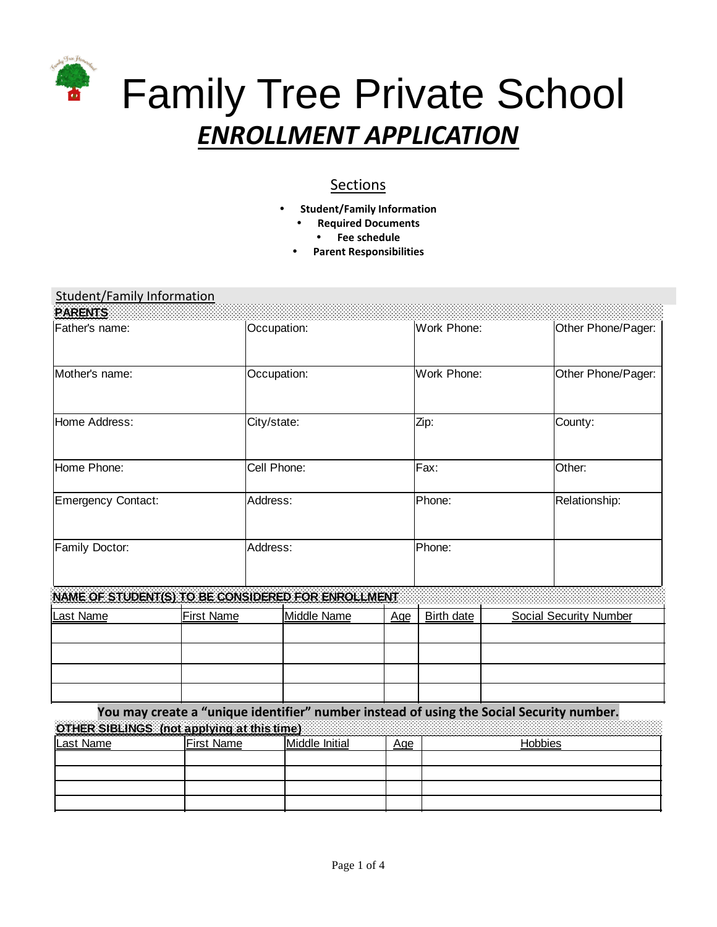

# Sections

- **Student/Family Information**
	- **Required Documents**
		- **Fee schedule**
	- **Parent Responsibilities**

## Student/Family Information

| PARENTS                                            |                   |             |             |     |                   |                               |  |
|----------------------------------------------------|-------------------|-------------|-------------|-----|-------------------|-------------------------------|--|
| Father's name:                                     |                   | Occupation: |             |     | Work Phone:       | Other Phone/Pager:            |  |
| Mother's name:                                     |                   | Occupation: |             |     | Work Phone:       | Other Phone/Pager:            |  |
| Home Address:                                      |                   | City/state: |             |     | Zip:              | County:                       |  |
| Home Phone:                                        |                   | Cell Phone: |             |     | Fax:              | Other:                        |  |
| <b>Emergency Contact:</b>                          |                   | Address:    |             |     | Phone:            | Relationship:                 |  |
| Family Doctor:                                     |                   | Address:    |             |     | Phone:            |                               |  |
| NAME OF STUDENT(S) TO BE CONSIDERED FOR ENROLLMENT |                   |             |             |     |                   |                               |  |
| Last Name                                          | <b>First Name</b> |             | Middle Name | Age | <b>Birth date</b> | <b>Social Security Number</b> |  |
|                                                    |                   |             |             |     |                   |                               |  |
|                                                    |                   |             |             |     |                   |                               |  |
|                                                    |                   |             |             |     |                   |                               |  |
|                                                    |                   |             |             |     |                   |                               |  |

**You may create a "unique identifier" number instead of using the Social Security number. OTHER SIBLINGS (not applying at this time)** 

| <u>SA DEMOSPERISSA MUSES MUSES PERIODIS SENDENTI ANNO 1999. IN INTERNATIONAL IN INTERNATIONAL IN INTERNATIONAL IN</u> |                   |                |     |         |  |  |
|-----------------------------------------------------------------------------------------------------------------------|-------------------|----------------|-----|---------|--|--|
| Last Name                                                                                                             | <b>First Name</b> | Middle Initial | Age | lobbies |  |  |
|                                                                                                                       |                   |                |     |         |  |  |
|                                                                                                                       |                   |                |     |         |  |  |
|                                                                                                                       |                   |                |     |         |  |  |
|                                                                                                                       |                   |                |     |         |  |  |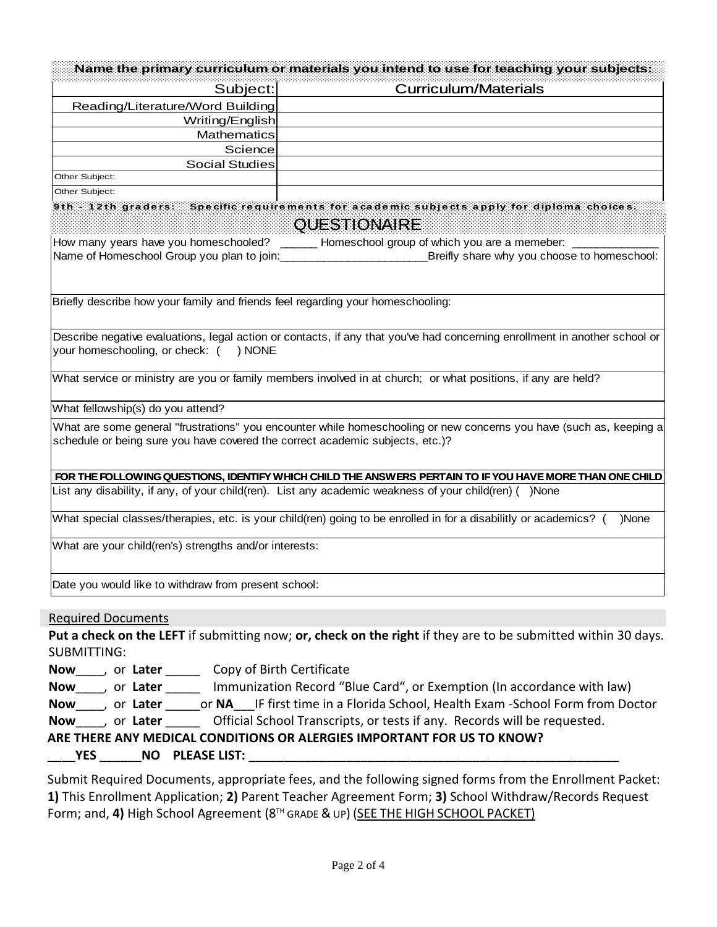|                                                                                 | Name the primary curriculum or materials you intend to use for teaching your subjects:                                     |
|---------------------------------------------------------------------------------|----------------------------------------------------------------------------------------------------------------------------|
| Subject:                                                                        | <b>Curriculum/Materials</b>                                                                                                |
| Reading/Literature/Word Building                                                |                                                                                                                            |
| Writing/English                                                                 |                                                                                                                            |
| Mathematics                                                                     |                                                                                                                            |
| Science                                                                         |                                                                                                                            |
| <b>Social Studies</b><br>Other Subject:                                         |                                                                                                                            |
| Other Subject:                                                                  |                                                                                                                            |
|                                                                                 | 9th - 12th graders: Specific requirements for academic subjects apply for diploma choices.                                 |
|                                                                                 | <b>QUESTIONAIRE</b>                                                                                                        |
|                                                                                 | How many years have you homeschooled? ______ Homeschool group of which you are a memeber: _______                          |
|                                                                                 | Breifly share why you choose to homeschool:                                                                                |
| Briefly describe how your family and friends feel regarding your homeschooling: |                                                                                                                            |
|                                                                                 |                                                                                                                            |
| your homeschooling, or check: () NONE                                           | Describe negative evaluations, legal action or contacts, if any that you've had concerning enrollment in another school or |
|                                                                                 | What service or ministry are you or family members involved in at church; or what positions, if any are held?              |
| What fellowship(s) do you attend?                                               |                                                                                                                            |
|                                                                                 | What are some general "frustrations" you encounter while homeschooling or new concerns you have (such as, keeping a        |
| schedule or being sure you have covered the correct academic subjects, etc.)?   |                                                                                                                            |
|                                                                                 |                                                                                                                            |
|                                                                                 | FOR THE FOLLOWING QUESTIONS, IDENTIFY WHICH CHILD THE ANSWERS PERTAIN TO IF YOU HAVE MORE THAN ONE CHILD                   |
|                                                                                 | List any disability, if any, of your child(ren). List any academic weakness of your child(ren) ( )None                     |
|                                                                                 | What special classes/therapies, etc. is your child(ren) going to be enrolled in for a disabilitly or academics? (<br>)None |
| What are your child(ren's) strengths and/or interests:                          |                                                                                                                            |
| Date you would like to withdraw from present school:                            |                                                                                                                            |
| <b>Required Documents</b>                                                       |                                                                                                                            |
|                                                                                 | Put a check on the LEFT if submitting now; or, check on the right if they are to be submitted within 30 days.              |
| <b>SUBMITTING:</b>                                                              |                                                                                                                            |
| Now ____, or Later _______ Copy of Birth Certificate                            |                                                                                                                            |
|                                                                                 | Now ____, or Later ______ Immunization Record "Blue Card", or Exemption (In accordance with law)                           |
|                                                                                 | Now ____, or Later ______ or NA___IF first time in a Florida School, Health Exam -School Form from Doctor                  |
|                                                                                 | Now, or Later Official School Transcripts, or tests if any. Records will be requested.                                     |
|                                                                                 |                                                                                                                            |
|                                                                                 | ARE THERE ANY MEDICAL CONDITIONS OR ALERGIES IMPORTANT FOR US TO KNOW?                                                     |
|                                                                                 |                                                                                                                            |
|                                                                                 | Submit Required Desuments, appropriate fees and the following signed forms from the Enrollment Racket:                     |

Submit Required Documents, appropriate fees, and the following signed forms from the Enrollment Packet: **1)** This Enrollment Application; **2)** Parent Teacher Agreement Form; **3)** School Withdraw/Records Request Form; and, 4) High School Agreement (8<sup>TH</sup> GRADE & UP) (SEE THE HIGH SCHOOL PACKET)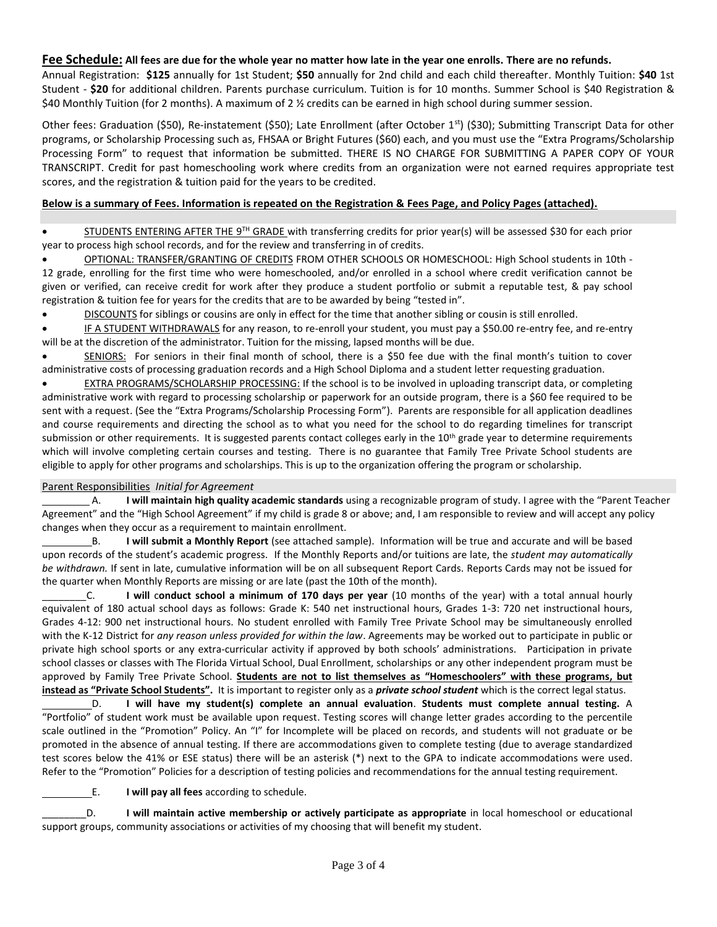#### **Fee Schedule: All fees are due for the whole year no matter how late in the year one enrolls. There are no refunds.**

Annual Registration: **\$125** annually for 1st Student; **\$50** annually for 2nd child and each child thereafter. Monthly Tuition: **\$40** 1st Student - **\$20** for additional children. Parents purchase curriculum. Tuition is for 10 months. Summer School is \$40 Registration & \$40 Monthly Tuition (for 2 months). A maximum of 2 ½ credits can be earned in high school during summer session.

Other fees: Graduation (\$50), Re-instatement (\$50); Late Enrollment (after October 1<sup>st</sup>) (\$30); Submitting Transcript Data for other programs, or Scholarship Processing such as, FHSAA or Bright Futures (\$60) each, and you must use the "Extra Programs/Scholarship Processing Form" to request that information be submitted. THERE IS NO CHARGE FOR SUBMITTING A PAPER COPY OF YOUR TRANSCRIPT. Credit for past homeschooling work where credits from an organization were not earned requires appropriate test scores, and the registration & tuition paid for the years to be credited.

## **Below is a summary of Fees. Information is repeated on the Registration & Fees Page, and Policy Pages (attached).**

• STUDENTS ENTERING AFTER THE 9TH GRADE with transferring credits for prior year(s) will be assessed \$30 for each prior year to process high school records, and for the review and transferring in of credits.

• OPTIONAL: TRANSFER/GRANTING OF CREDITS FROM OTHER SCHOOLS OR HOMESCHOOL: High School students in 10th - 12 grade, enrolling for the first time who were homeschooled, and/or enrolled in a school where credit verification cannot be given or verified, can receive credit for work after they produce a student portfolio or submit a reputable test, & pay school registration & tuition fee for years for the credits that are to be awarded by being "tested in".

• DISCOUNTS for siblings or cousins are only in effect for the time that another sibling or cousin is still enrolled.

IF A STUDENT WITHDRAWALS for any reason, to re-enroll your student, you must pay a \$50.00 re-entry fee, and re-entry will be at the discretion of the administrator. Tuition for the missing, lapsed months will be due.

• SENIORS: For seniors in their final month of school, there is a \$50 fee due with the final month's tuition to cover administrative costs of processing graduation records and a High School Diploma and a student letter requesting graduation.

• EXTRA PROGRAMS/SCHOLARSHIP PROCESSING: If the school is to be involved in uploading transcript data, or completing administrative work with regard to processing scholarship or paperwork for an outside program, there is a \$60 fee required to be sent with a request. (See the "Extra Programs/Scholarship Processing Form"). Parents are responsible for all application deadlines and course requirements and directing the school as to what you need for the school to do regarding timelines for transcript submission or other requirements. It is suggested parents contact colleges early in the 10<sup>th</sup> grade year to determine requirements which will involve completing certain courses and testing. There is no guarantee that Family Tree Private School students are eligible to apply for other programs and scholarships. This is up to the organization offering the program or scholarship.

## Parent Responsibilities *Initial for Agreement*

 A. **I will maintain high quality academic standards** using a recognizable program of study. I agree with the "Parent Teacher Agreement" and the "High School Agreement" if my child is grade 8 or above; and, I am responsible to review and will accept any policy changes when they occur as a requirement to maintain enrollment.

 B. **I will submit a Monthly Report** (see attached sample).Information will be true and accurate and will be based upon records of the student's academic progress. If the Monthly Reports and/or tuitions are late, the *student may automatically be withdrawn.* If sent in late, cumulative information will be on all subsequent Report Cards. Reports Cards may not be issued for the quarter when Monthly Reports are missing or are late (past the 10th of the month).

\_\_\_\_\_\_\_\_C. **I will** c**onduct school a minimum of 170 days per year** (10 months of the year) with a total annual hourly equivalent of 180 actual school days as follows: Grade K: 540 net instructional hours, Grades 1-3: 720 net instructional hours, Grades 4-12: 900 net instructional hours. No student enrolled with Family Tree Private School may be simultaneously enrolled with the K-12 District for *any reason unless provided for within the law*. Agreements may be worked out to participate in public or private high school sports or any extra-curricular activity if approved by both schools' administrations. Participation in private school classes or classes with The Florida Virtual School, Dual Enrollment, scholarships or any other independent program must be approved by Family Tree Private School. **Students are not to list themselves as "Homeschoolers" with these programs, but instead as "Private School Students".** It is important to register only as a *private school student* which is the correct legal status.

 D. **I will have my student(s) complete an annual evaluation**. **Students must complete annual testing.** A "Portfolio" of student work must be available upon request. Testing scores will change letter grades according to the percentile scale outlined in the "Promotion" Policy. An "I" for Incomplete will be placed on records, and students will not graduate or be promoted in the absence of annual testing. If there are accommodations given to complete testing (due to average standardized test scores below the 41% or ESE status) there will be an asterisk (\*) next to the GPA to indicate accommodations were used. Refer to the "Promotion" Policies for a description of testing policies and recommendations for the annual testing requirement.

E. **I will pay all fees** according to schedule.

\_\_\_\_\_\_\_\_D. **I will maintain active membership or actively participate as appropriate** in local homeschool or educational support groups, community associations or activities of my choosing that will benefit my student.